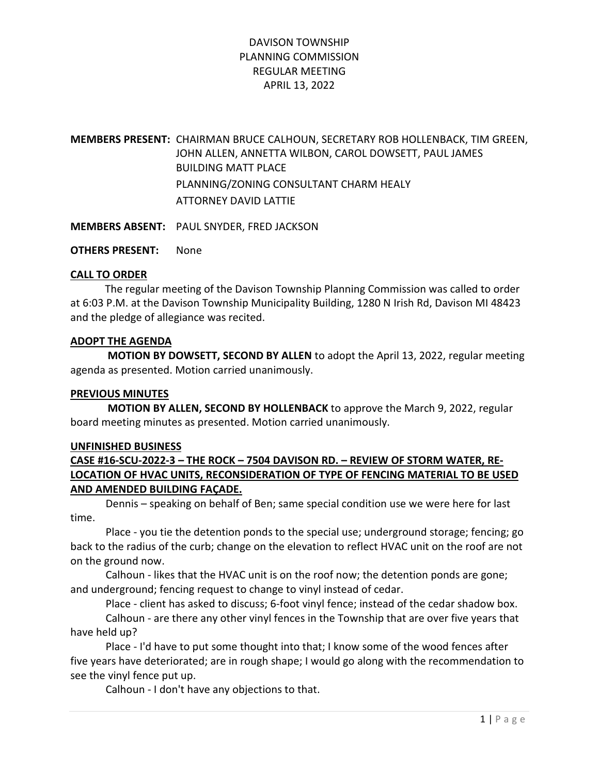# DAVISON TOWNSHIP PLANNING COMMISSION REGULAR MEETING APRIL 13, 2022

MEMBERS PRESENT: CHAIRMAN BRUCE CALHOUN, SECRETARY ROB HOLLENBACK, TIM GREEN, JOHN ALLEN, ANNETTA WILBON, CAROL DOWSETT, PAUL JAMES BUILDING MATT PLACE PLANNING/ZONING CONSULTANT CHARM HEALY ATTORNEY DAVID LATTIE

MEMBERS ABSENT: PAUL SNYDER, FRED JACKSON

OTHERS PRESENT: None

### CALL TO ORDER

 The regular meeting of the Davison Township Planning Commission was called to order at 6:03 P.M. at the Davison Township Municipality Building, 1280 N Irish Rd, Davison MI 48423 and the pledge of allegiance was recited.

### ADOPT THE AGENDA

 MOTION BY DOWSETT, SECOND BY ALLEN to adopt the April 13, 2022, regular meeting agenda as presented. Motion carried unanimously.

#### PREVIOUS MINUTES

 MOTION BY ALLEN, SECOND BY HOLLENBACK to approve the March 9, 2022, regular board meeting minutes as presented. Motion carried unanimously.

#### UNFINISHED BUSINESS

## CASE #16-SCU-2022-3 – THE ROCK – 7504 DAVISON RD. – REVIEW OF STORM WATER, RE-LOCATION OF HVAC UNITS, RECONSIDERATION OF TYPE OF FENCING MATERIAL TO BE USED AND AMENDED BUILDING FAÇADE.

 Dennis – speaking on behalf of Ben; same special condition use we were here for last time.

 Place - you tie the detention ponds to the special use; underground storage; fencing; go back to the radius of the curb; change on the elevation to reflect HVAC unit on the roof are not on the ground now.

 Calhoun - likes that the HVAC unit is on the roof now; the detention ponds are gone; and underground; fencing request to change to vinyl instead of cedar.

Place - client has asked to discuss; 6-foot vinyl fence; instead of the cedar shadow box.

 Calhoun - are there any other vinyl fences in the Township that are over five years that have held up?

 Place - I'd have to put some thought into that; I know some of the wood fences after five years have deteriorated; are in rough shape; I would go along with the recommendation to see the vinyl fence put up.

Calhoun - I don't have any objections to that.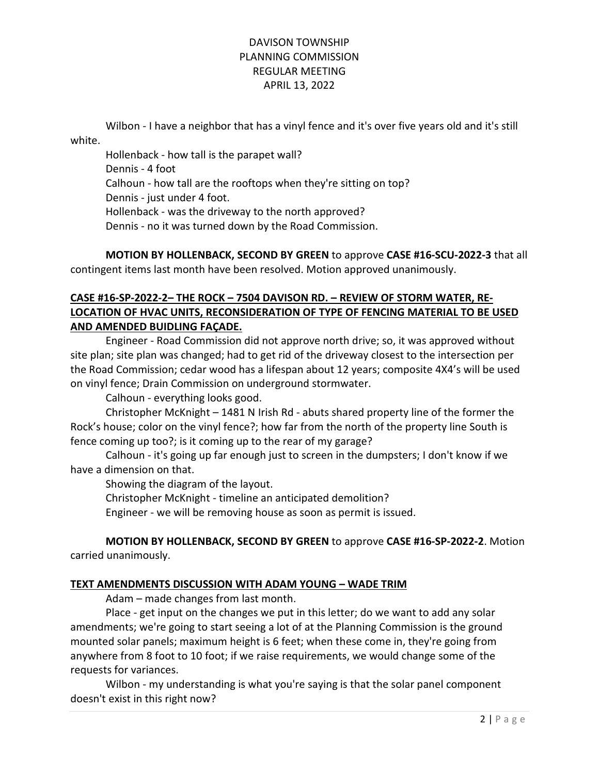## DAVISON TOWNSHIP PLANNING COMMISSION REGULAR MEETING APRIL 13, 2022

 Wilbon - I have a neighbor that has a vinyl fence and it's over five years old and it's still white.

 Hollenback - how tall is the parapet wall? Dennis - 4 foot Calhoun - how tall are the rooftops when they're sitting on top? Dennis - just under 4 foot. Hollenback - was the driveway to the north approved? Dennis - no it was turned down by the Road Commission.

MOTION BY HOLLENBACK, SECOND BY GREEN to approve CASE #16-SCU-2022-3 that all contingent items last month have been resolved. Motion approved unanimously.

# CASE #16-SP-2022-2– THE ROCK – 7504 DAVISON RD. – REVIEW OF STORM WATER, RE-LOCATION OF HVAC UNITS, RECONSIDERATION OF TYPE OF FENCING MATERIAL TO BE USED AND AMENDED BUIDLING FAÇADE.

 Engineer - Road Commission did not approve north drive; so, it was approved without site plan; site plan was changed; had to get rid of the driveway closest to the intersection per the Road Commission; cedar wood has a lifespan about 12 years; composite 4X4's will be used on vinyl fence; Drain Commission on underground stormwater.

Calhoun - everything looks good.

 Christopher McKnight – 1481 N Irish Rd - abuts shared property line of the former the Rock's house; color on the vinyl fence?; how far from the north of the property line South is fence coming up too?; is it coming up to the rear of my garage?

 Calhoun - it's going up far enough just to screen in the dumpsters; I don't know if we have a dimension on that.

Showing the diagram of the layout.

Christopher McKnight - timeline an anticipated demolition?

Engineer - we will be removing house as soon as permit is issued.

MOTION BY HOLLENBACK, SECOND BY GREEN to approve CASE #16-SP-2022-2. Motion carried unanimously.

### TEXT AMENDMENTS DISCUSSION WITH ADAM YOUNG – WADE TRIM

Adam – made changes from last month.

 Place - get input on the changes we put in this letter; do we want to add any solar amendments; we're going to start seeing a lot of at the Planning Commission is the ground mounted solar panels; maximum height is 6 feet; when these come in, they're going from anywhere from 8 foot to 10 foot; if we raise requirements, we would change some of the requests for variances.

 Wilbon - my understanding is what you're saying is that the solar panel component doesn't exist in this right now?